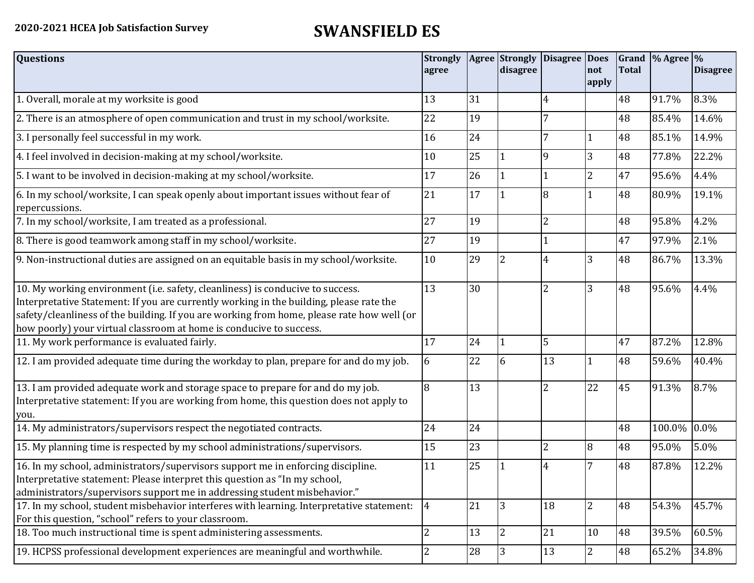## **2020-2021 HCEA Job Satisfaction Survey SWANSFIELD ES**

| <b>Questions</b>                                                                                                                                                                                                                                                                                                                               | <b>Strongly</b><br>agree |        | <b>Agree</b> Strongly<br>disagree | Disagree Does  | not<br>apply   | <b>Total</b> | Grand % Agree % | <b>Disagree</b> |
|------------------------------------------------------------------------------------------------------------------------------------------------------------------------------------------------------------------------------------------------------------------------------------------------------------------------------------------------|--------------------------|--------|-----------------------------------|----------------|----------------|--------------|-----------------|-----------------|
| 1. Overall, morale at my worksite is good                                                                                                                                                                                                                                                                                                      | 13                       | 31     |                                   | 4              |                | 48           | 91.7%           | 8.3%            |
| 2. There is an atmosphere of open communication and trust in my school/worksite.                                                                                                                                                                                                                                                               | 22                       | 19     |                                   | 7              |                | 48           | 85.4%           | 14.6%           |
| 3. I personally feel successful in my work.                                                                                                                                                                                                                                                                                                    | 16                       | 24     |                                   | 7              |                | 48           | 85.1%           | 14.9%           |
| 4. I feel involved in decision-making at my school/worksite.                                                                                                                                                                                                                                                                                   | 10                       | 25     |                                   | 9              | 3              | 48           | 77.8%           | 22.2%           |
| 5. I want to be involved in decision-making at my school/worksite.                                                                                                                                                                                                                                                                             | 17                       | 26     |                                   | 1              | $\overline{2}$ | 47           | 95.6%           | 4.4%            |
| 6. In my school/worksite, I can speak openly about important issues without fear of<br>repercussions.                                                                                                                                                                                                                                          | 21                       | 17     |                                   | 8              |                | 48           | 80.9%           | 19.1%           |
| 7. In my school/worksite, I am treated as a professional.                                                                                                                                                                                                                                                                                      | 27                       | 19     |                                   | $\overline{2}$ |                | 48           | 95.8%           | 4.2%            |
| 8. There is good teamwork among staff in my school/worksite.                                                                                                                                                                                                                                                                                   | 27                       | 19     |                                   |                |                | 47           | 97.9%           | 2.1%            |
| 9. Non-instructional duties are assigned on an equitable basis in my school/worksite.                                                                                                                                                                                                                                                          | 10                       | 29     | 2                                 | 4              | 3              | 48           | 86.7%           | 13.3%           |
| 10. My working environment (i.e. safety, cleanliness) is conducive to success.<br>Interpretative Statement: If you are currently working in the building, please rate the<br>safety/cleanliness of the building. If you are working from home, please rate how well (or<br>how poorly) your virtual classroom at home is conducive to success. | 13                       | 30     |                                   | $\overline{2}$ | 3              | 48           | 95.6%           | 4.4%            |
| 11. My work performance is evaluated fairly.                                                                                                                                                                                                                                                                                                   | 17                       | 24     |                                   | 5              |                | 47           | 87.2%           | 12.8%           |
| 12. I am provided adequate time during the workday to plan, prepare for and do my job.                                                                                                                                                                                                                                                         | 6                        | 22     | 6                                 | 13             |                | 48           | 59.6%           | 40.4%           |
| 13. I am provided adequate work and storage space to prepare for and do my job.<br>Interpretative statement: If you are working from home, this question does not apply to<br>you.                                                                                                                                                             | 8                        | 13     |                                   | $\overline{2}$ | 22             | 45           | 91.3%           | 8.7%            |
| 14. My administrators/supervisors respect the negotiated contracts.                                                                                                                                                                                                                                                                            | 24                       | 24     |                                   |                |                | 48           | 100.0%          | $0.0\%$         |
| 15. My planning time is respected by my school administrations/supervisors.                                                                                                                                                                                                                                                                    | 15                       | 23     |                                   | $\overline{2}$ | 8              | 48           | 95.0%           | 5.0%            |
| 16. In my school, administrators/supervisors support me in enforcing discipline.<br>Interpretative statement: Please interpret this question as "In my school,<br>administrators/supervisors support me in addressing student misbehavior."                                                                                                    | 11                       | 25     |                                   | 4              |                | 48           | 87.8%           | 12.2%           |
| 17. In my school, student misbehavior interferes with learning. Interpretative statement:<br>For this question, "school" refers to your classroom.                                                                                                                                                                                             | $\overline{4}$           | 21     | $\overline{3}$                    | 18             | $\overline{2}$ | 48           | 54.3%           | 45.7%           |
| 18. Too much instructional time is spent administering assessments.                                                                                                                                                                                                                                                                            | $\overline{2}$           | 13     | $\overline{2}$                    | 21             | 10             | 48           | 39.5%           | 60.5%           |
| 19. HCPSS professional development experiences are meaningful and worthwhile.                                                                                                                                                                                                                                                                  | $\overline{2}$           | $28\,$ | 3                                 | 13             | $\overline{2}$ | 48           | 65.2%           | 34.8%           |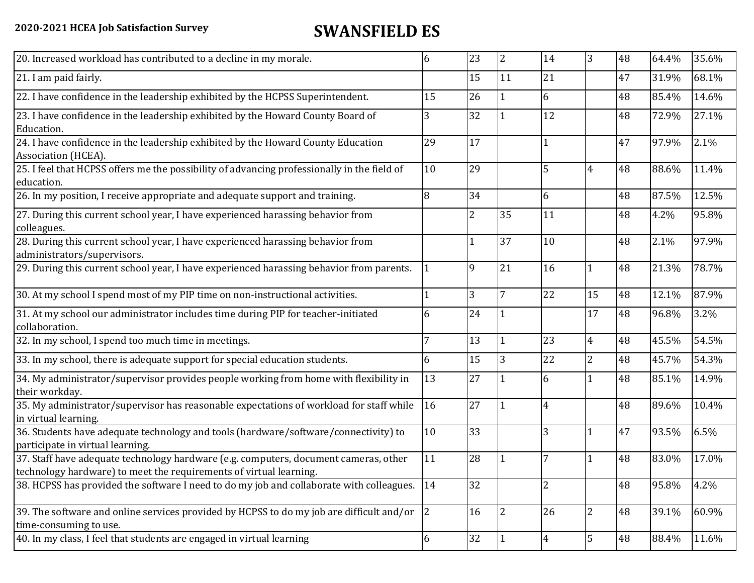## **2020-2021 HCEA Job Satisfaction Survey SWANSFIELD ES**

| 20. Increased workload has contributed to a decline in my morale.                                                                                          | 6           | 23             | $\overline{2}$ | 14             | 3              | 48 | 64.4% | 35.6% |
|------------------------------------------------------------------------------------------------------------------------------------------------------------|-------------|----------------|----------------|----------------|----------------|----|-------|-------|
| 21. I am paid fairly.                                                                                                                                      |             | 15             | 11             | 21             |                | 47 | 31.9% | 68.1% |
| 22. I have confidence in the leadership exhibited by the HCPSS Superintendent.                                                                             | 15          | 26             |                | 6              |                | 48 | 85.4% | 14.6% |
| 23. I have confidence in the leadership exhibited by the Howard County Board of<br>Education.                                                              | 3           | 32             |                | 12             |                | 48 | 72.9% | 27.1% |
| 24. I have confidence in the leadership exhibited by the Howard County Education<br>Association (HCEA).                                                    | 29          | 17             |                | $\mathbf{1}$   |                | 47 | 97.9% | 2.1%  |
| 25. I feel that HCPSS offers me the possibility of advancing professionally in the field of<br>education.                                                  | 10          | 29             |                | 5              | $\overline{4}$ | 48 | 88.6% | 11.4% |
| 26. In my position, I receive appropriate and adequate support and training.                                                                               | 8           | 34             |                | 6              |                | 48 | 87.5% | 12.5% |
| 27. During this current school year, I have experienced harassing behavior from<br>colleagues.                                                             |             | $\overline{2}$ | 35             | 11             |                | 48 | 4.2%  | 95.8% |
| 28. During this current school year, I have experienced harassing behavior from<br>administrators/supervisors.                                             |             |                | 37             | 10             |                | 48 | 2.1%  | 97.9% |
| 29. During this current school year, I have experienced harassing behavior from parents.                                                                   |             | 9              | 21             | 16             | $\mathbf{1}$   | 48 | 21.3% | 78.7% |
| 30. At my school I spend most of my PIP time on non-instructional activities.                                                                              |             | 3              | 7              | 22             | 15             | 48 | 12.1% | 87.9% |
| 31. At my school our administrator includes time during PIP for teacher-initiated<br>collaboration.                                                        | 6           | 24             |                |                | 17             | 48 | 96.8% | 3.2%  |
| 32. In my school, I spend too much time in meetings.                                                                                                       | 7           | 13             |                | 23             | $\overline{4}$ | 48 | 45.5% | 54.5% |
| 33. In my school, there is adequate support for special education students.                                                                                | 6           | 15             | 3              | 22             | $\overline{2}$ | 48 | 45.7% | 54.3% |
| 34. My administrator/supervisor provides people working from home with flexibility in<br>their workday.                                                    | 13          | 27             |                | 6              |                | 48 | 85.1% | 14.9% |
| 35. My administrator/supervisor has reasonable expectations of workload for staff while<br>in virtual learning.                                            | 16          | 27             |                | $\overline{4}$ |                | 48 | 89.6% | 10.4% |
| 36. Students have adequate technology and tools (hardware/software/connectivity) to<br>participate in virtual learning.                                    | 10          | 33             |                | 3              | 1              | 47 | 93.5% | 6.5%  |
| 37. Staff have adequate technology hardware (e.g. computers, document cameras, other<br>technology hardware) to meet the requirements of virtual learning. | 11          | 28             |                |                |                | 48 | 83.0% | 17.0% |
| 38. HCPSS has provided the software I need to do my job and collaborate with colleagues.                                                                   | 14          | 32             |                | 2              |                | 48 | 95.8% | 4.2%  |
| 39. The software and online services provided by HCPSS to do my job are difficult and/or<br>time-consuming to use.                                         | $ 2\rangle$ | 16             | $\overline{2}$ | 26             | $\overline{2}$ | 48 | 39.1% | 60.9% |
| 40. In my class, I feel that students are engaged in virtual learning                                                                                      | 6           | 32             |                | $\overline{4}$ | 5              | 48 | 88.4% | 11.6% |